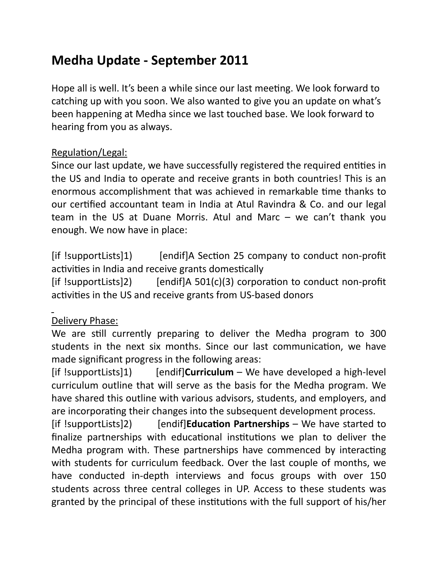# **Medha Update - September 2011**

Hope all is well. It's been a while since our last meeting. We look forward to catching up with you soon. We also wanted to give you an update on what's been happening at Medha since we last touched base. We look forward to hearing from you as always.

### Regulation/Legal:

Since our last update, we have successfully registered the required entities in the US and India to operate and receive grants in both countries! This is an enormous accomplishment that was achieved in remarkable time thanks to our certified accountant team in India at Atul Ravindra & Co. and our legal team in the US at Duane Morris. Atul and Marc  $-$  we can't thank you enough. We now have in place:

 $[$ if !supportLists $]$ 1) [endif]A Section 25 company to conduct non-profit activities in India and receive grants domestically

[if  $!$ supportLists]2) [endif]A 501(c)(3) corporation to conduct non-profit activities in the US and receive grants from US-based donors

# Delivery Phase:

We are still currently preparing to deliver the Medha program to 300 students in the next six months. Since our last communication, we have made significant progress in the following areas:

[if !supportLists]1) [endif]**Curriculum** – We have developed a high-level curriculum outline that will serve as the basis for the Medha program. We have shared this outline with various advisors, students, and employers, and are incorporating their changes into the subsequent development process.

[if !supportLists]2) [endif]**Education Partnerships** – We have started to finalize partnerships with educational institutions we plan to deliver the Medha program with. These partnerships have commenced by interacting with students for curriculum feedback. Over the last couple of months, we have conducted in-depth interviews and focus groups with over 150 students across three central colleges in UP. Access to these students was granted by the principal of these institutions with the full support of his/her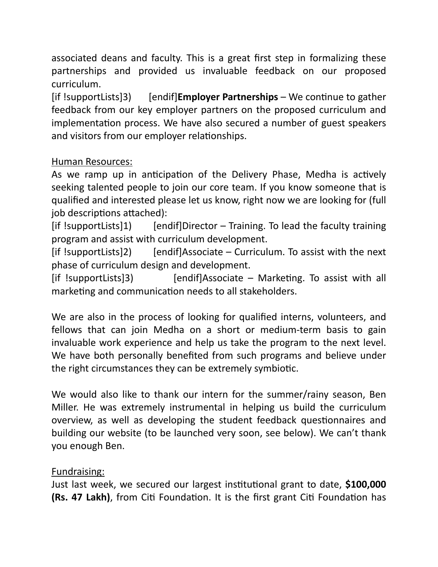associated deans and faculty. This is a great first step in formalizing these partnerships and provided us invaluable feedback on our proposed curriculum. 

[if !supportLists]3) [endif]**Employer Partnerships** – We continue to gather feedback from our key employer partners on the proposed curriculum and implementation process. We have also secured a number of guest speakers and visitors from our employer relationships.

## Human Resources:

As we ramp up in anticipation of the Delivery Phase, Medha is actively seeking talented people to join our core team. If you know someone that is qualified and interested please let us know, right now we are looking for (full job descriptions attached):

 $[$ if !supportLists]1) [endif]Director – Training. To lead the faculty training program and assist with curriculum development.

 $[$ if !supportLists]2) [endif]Associate – Curriculum. To assist with the next phase of curriculum design and development.

 $[$ if !supportLists]3) [endif]Associate – Marketing. To assist with all marketing and communication needs to all stakeholders.

We are also in the process of looking for qualified interns, volunteers, and fellows that can join Medha on a short or medium-term basis to gain invaluable work experience and help us take the program to the next level. We have both personally benefited from such programs and believe under the right circumstances they can be extremely symbiotic.

We would also like to thank our intern for the summer/rainy season, Ben Miller. He was extremely instrumental in helping us build the curriculum overview, as well as developing the student feedback questionnaires and building our website (to be launched very soon, see below). We can't thank you enough Ben.

### Fundraising:

Just last week, we secured our largest institutional grant to date, **\$100,000 (Rs. 47 Lakh)**, from Citi Foundation. It is the first grant Citi Foundation has